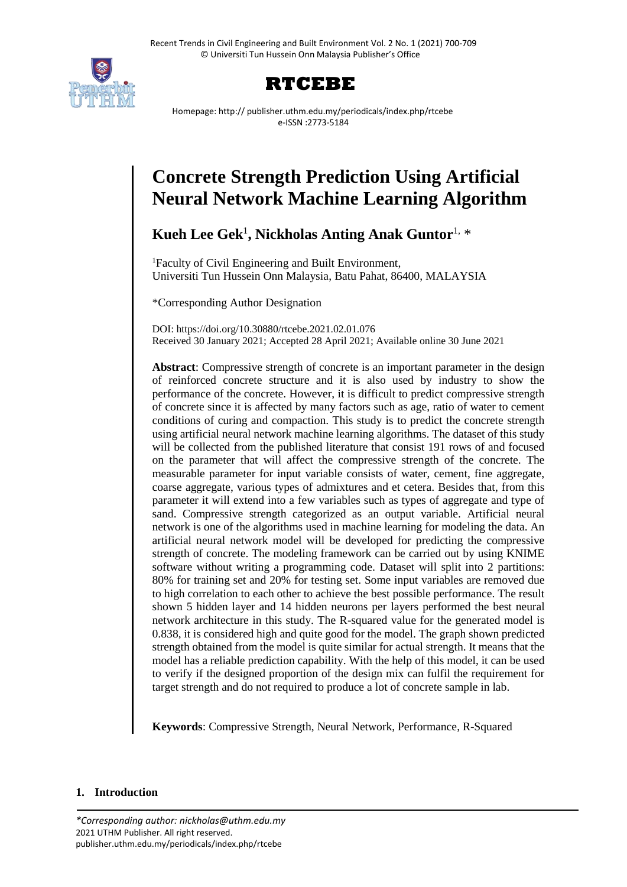



Homepage: http:// publisher.uthm.edu.my/periodicals/index.php/rtcebe e-ISSN :2773-5184

# **Concrete Strength Prediction Using Artificial Neural Network Machine Learning Algorithm**

**Kueh Lee Gek**<sup>1</sup> **, Nickholas Anting Anak Guntor** 1, \*

<sup>1</sup>Faculty of Civil Engineering and Built Environment, Universiti Tun Hussein Onn Malaysia, Batu Pahat, 86400, MALAYSIA

\*Corresponding Author Designation

DOI: https://doi.org/10.30880/rtcebe.2021.02.01.076 Received 30 January 2021; Accepted 28 April 2021; Available online 30 June 2021

**Abstract**: Compressive strength of concrete is an important parameter in the design of reinforced concrete structure and it is also used by industry to show the performance of the concrete. However, it is difficult to predict compressive strength of concrete since it is affected by many factors such as age, ratio of water to cement conditions of curing and compaction. This study is to predict the concrete strength using artificial neural network machine learning algorithms. The dataset of this study will be collected from the published literature that consist 191 rows of and focused on the parameter that will affect the compressive strength of the concrete. The measurable parameter for input variable consists of water, cement, fine aggregate, coarse aggregate, various types of admixtures and et cetera. Besides that, from this parameter it will extend into a few variables such as types of aggregate and type of sand. Compressive strength categorized as an output variable. Artificial neural network is one of the algorithms used in machine learning for modeling the data. An artificial neural network model will be developed for predicting the compressive strength of concrete. The modeling framework can be carried out by using KNIME software without writing a programming code. Dataset will split into 2 partitions: 80% for training set and 20% for testing set. Some input variables are removed due to high correlation to each other to achieve the best possible performance. The result shown 5 hidden layer and 14 hidden neurons per layers performed the best neural network architecture in this study. The R-squared value for the generated model is 0.838, it is considered high and quite good for the model. The graph shown predicted strength obtained from the model is quite similar for actual strength. It means that the model has a reliable prediction capability. With the help of this model, it can be used to verify if the designed proportion of the design mix can fulfil the requirement for target strength and do not required to produce a lot of concrete sample in lab.

**Keywords**: Compressive Strength, Neural Network, Performance, R-Squared

# **1. Introduction**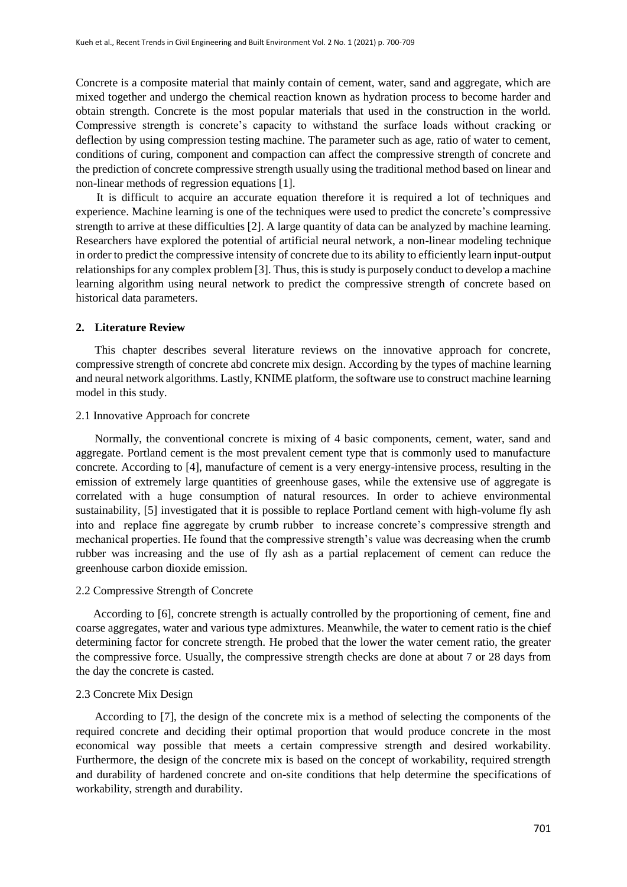Concrete is a composite material that mainly contain of cement, water, sand and aggregate, which are mixed together and undergo the chemical reaction known as hydration process to become harder and obtain strength. Concrete is the most popular materials that used in the construction in the world. Compressive strength is concrete's capacity to withstand the surface loads without cracking or deflection by using compression testing machine. The parameter such as age, ratio of water to cement, conditions of curing, component and compaction can affect the compressive strength of concrete and the prediction of concrete compressive strength usually using the traditional method based on linear and non-linear methods of regression equations [1].

 It is difficult to acquire an accurate equation therefore it is required a lot of techniques and experience. Machine learning is one of the techniques were used to predict the concrete's compressive strength to arrive at these difficulties [2]. A large quantity of data can be analyzed by machine learning. Researchers have explored the potential of artificial neural network, a non-linear modeling technique in order to predict the compressive intensity of concrete due to its ability to efficiently learn input-output relationships for any complex problem [3]. Thus, this is study is purposely conduct to develop a machine learning algorithm using neural network to predict the compressive strength of concrete based on historical data parameters.

## **2. Literature Review**

This chapter describes several literature reviews on the innovative approach for concrete, compressive strength of concrete abd concrete mix design. According by the types of machine learning and neural network algorithms. Lastly, KNIME platform, the software use to construct machine learning model in this study.

#### 2.1 Innovative Approach for concrete

Normally, the conventional concrete is mixing of 4 basic components, cement, water, sand and aggregate. Portland cement is the most prevalent cement type that is commonly used to manufacture concrete. According to [4], manufacture of cement is a very energy-intensive process, resulting in the emission of extremely large quantities of greenhouse gases, while the extensive use of aggregate is correlated with a huge consumption of natural resources. In order to achieve environmental sustainability, [5] investigated that it is possible to replace Portland cement with high-volume fly ash into and replace fine aggregate by crumb rubber to increase concrete's compressive strength and mechanical properties. He found that the compressive strength's value was decreasing when the crumb rubber was increasing and the use of fly ash as a partial replacement of cement can reduce the greenhouse carbon dioxide emission.

#### 2.2 Compressive Strength of Concrete

 According to [6], concrete strength is actually controlled by the proportioning of cement, fine and coarse aggregates, water and various type admixtures. Meanwhile, the water to cement ratio is the chief determining factor for concrete strength. He probed that the lower the water cement ratio, the greater the compressive force. Usually, the compressive strength checks are done at about 7 or 28 days from the day the concrete is casted.

#### 2.3 Concrete Mix Design

According to [7], the design of the concrete mix is a method of selecting the components of the required concrete and deciding their optimal proportion that would produce concrete in the most economical way possible that meets a certain compressive strength and desired workability. Furthermore, the design of the concrete mix is based on the concept of workability, required strength and durability of hardened concrete and on-site conditions that help determine the specifications of workability, strength and durability.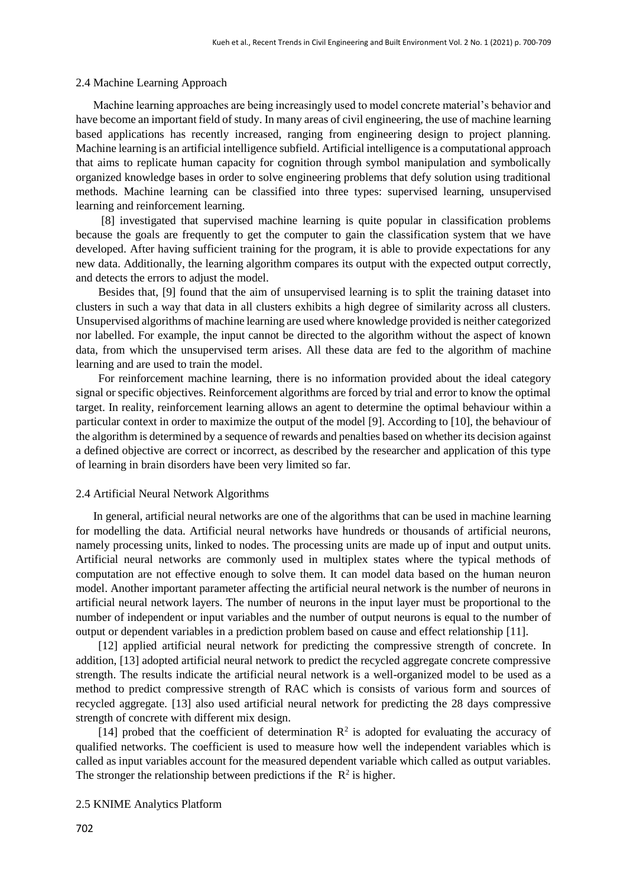#### 2.4 Machine Learning Approach

 Machine learning approaches are being increasingly used to model concrete material's behavior and have become an important field of study. In many areas of civil engineering, the use of machine learning based applications has recently increased, ranging from engineering design to project planning. Machine learning is an artificial intelligence subfield. Artificial intelligence is a computational approach that aims to replicate human capacity for cognition through symbol manipulation and symbolically organized knowledge bases in order to solve engineering problems that defy solution using traditional methods. Machine learning can be classified into three types: supervised learning, unsupervised learning and reinforcement learning.

[8] investigated that supervised machine learning is quite popular in classification problems because the goals are frequently to get the computer to gain the classification system that we have developed. After having sufficient training for the program, it is able to provide expectations for any new data. Additionally, the learning algorithm compares its output with the expected output correctly, and detects the errors to adjust the model.

Besides that, [9] found that the aim of unsupervised learning is to split the training dataset into clusters in such a way that data in all clusters exhibits a high degree of similarity across all clusters. Unsupervised algorithms of machine learning are used where knowledge provided is neither categorized nor labelled. For example, the input cannot be directed to the algorithm without the aspect of known data, from which the unsupervised term arises. All these data are fed to the algorithm of machine learning and are used to train the model.

For reinforcement machine learning, there is no information provided about the ideal category signal or specific objectives. Reinforcement algorithms are forced by trial and error to know the optimal target. In reality, reinforcement learning allows an agent to determine the optimal behaviour within a particular context in order to maximize the output of the model [9]. According to [10], the behaviour of the algorithm is determined by a sequence of rewards and penalties based on whether its decision against a defined objective are correct or incorrect, as described by the researcher and application of this type of learning in brain disorders have been very limited so far.

#### 2.4 Artificial Neural Network Algorithms

 In general, artificial neural networks are one of the algorithms that can be used in machine learning for modelling the data. Artificial neural networks have hundreds or thousands of artificial neurons, namely processing units, linked to nodes. The processing units are made up of input and output units. Artificial neural networks are commonly used in multiplex states where the typical methods of computation are not effective enough to solve them. It can model data based on the human neuron model. Another important parameter affecting the artificial neural network is the number of neurons in artificial neural network layers. The number of neurons in the input layer must be proportional to the number of independent or input variables and the number of output neurons is equal to the number of output or dependent variables in a prediction problem based on cause and effect relationship [11].

[12] applied artificial neural network for predicting the compressive strength of concrete. In addition, [13] adopted artificial neural network to predict the recycled aggregate concrete compressive strength. The results indicate the artificial neural network is a well-organized model to be used as a method to predict compressive strength of RAC which is consists of various form and sources of recycled aggregate. [13] also used artificial neural network for predicting the 28 days compressive strength of concrete with different mix design.

[14] probed that the coefficient of determination  $\mathbb{R}^2$  is adopted for evaluating the accuracy of qualified networks. The coefficient is used to measure how well the independent variables which is called as input variables account for the measured dependent variable which called as output variables. The stronger the relationship between predictions if the  $\mathbb{R}^2$  is higher.

2.5 KNIME Analytics Platform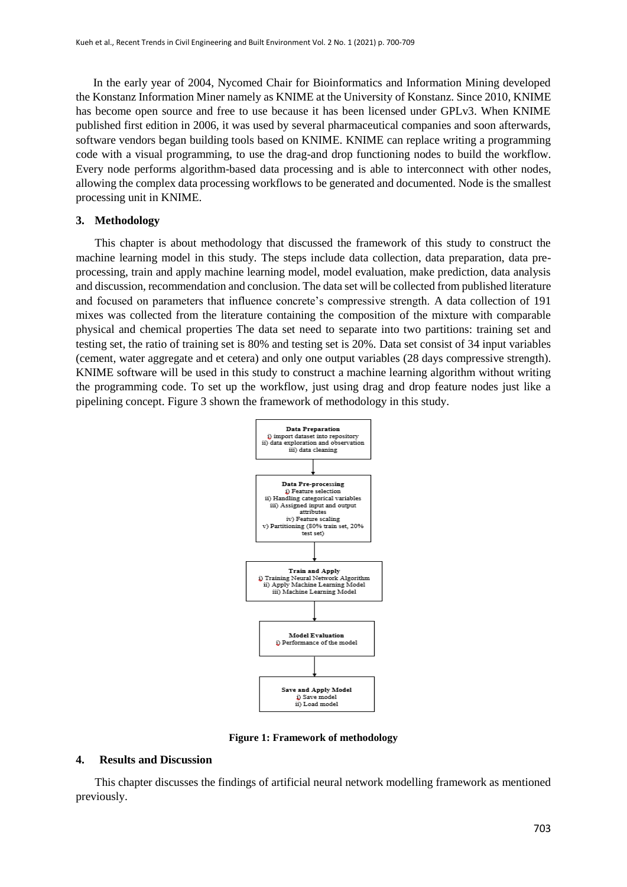In the early year of 2004, Nycomed Chair for Bioinformatics and Information Mining developed the Konstanz Information Miner namely as KNIME at the University of Konstanz. Since 2010, KNIME has become open source and free to use because it has been licensed under GPLv3. When KNIME published first edition in 2006, it was used by several pharmaceutical companies and soon afterwards, software vendors began building tools based on KNIME. KNIME can replace writing a programming code with a visual programming, to use the drag-and drop functioning nodes to build the workflow. Every node performs algorithm-based data processing and is able to interconnect with other nodes, allowing the complex data processing workflows to be generated and documented. Node is the smallest processing unit in KNIME.

## **3. Methodology**

This chapter is about methodology that discussed the framework of this study to construct the machine learning model in this study. The steps include data collection, data preparation, data preprocessing, train and apply machine learning model, model evaluation, make prediction, data analysis and discussion, recommendation and conclusion. The data set will be collected from published literature and focused on parameters that influence concrete's compressive strength. A data collection of 191 mixes was collected from the literature containing the composition of the mixture with comparable physical and chemical properties The data set need to separate into two partitions: training set and testing set, the ratio of training set is 80% and testing set is 20%. Data set consist of 34 input variables (cement, water aggregate and et cetera) and only one output variables (28 days compressive strength). KNIME software will be used in this study to construct a machine learning algorithm without writing the programming code. To set up the workflow, just using drag and drop feature nodes just like a pipelining concept. Figure 3 shown the framework of methodology in this study.



**Figure 1: Framework of methodology**

#### **4. Results and Discussion**

This chapter discusses the findings of artificial neural network modelling framework as mentioned previously.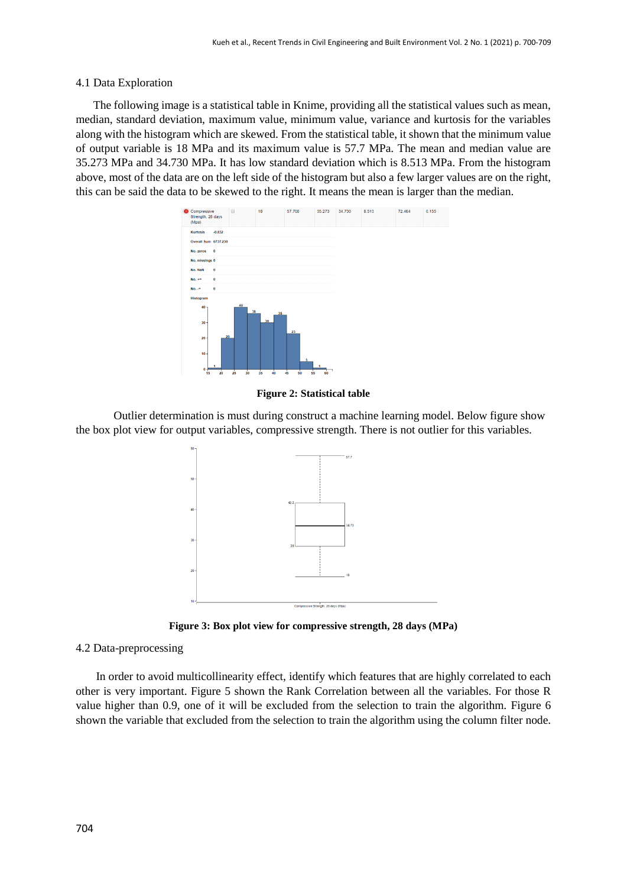# 4.1 Data Exploration

 The following image is a statistical table in Knime, providing all the statistical values such as mean, median, standard deviation, maximum value, minimum value, variance and kurtosis for the variables along with the histogram which are skewed. From the statistical table, it shown that the minimum value of output variable is 18 MPa and its maximum value is 57.7 MPa. The mean and median value are 35.273 MPa and 34.730 MPa. It has low standard deviation which is 8.513 MPa. From the histogram above, most of the data are on the left side of the histogram but also a few larger values are on the right, this can be said the data to be skewed to the right. It means the mean is larger than the median.



**Figure 2: Statistical table**

Outlier determination is must during construct a machine learning model. Below figure show the box plot view for output variables, compressive strength. There is not outlier for this variables.



**Figure 3: Box plot view for compressive strength, 28 days (MPa)**

## 4.2 Data-preprocessing

 In order to avoid multicollinearity effect, identify which features that are highly correlated to each other is very important. Figure 5 shown the Rank Correlation between all the variables. For those R value higher than 0.9, one of it will be excluded from the selection to train the algorithm. Figure 6 shown the variable that excluded from the selection to train the algorithm using the column filter node.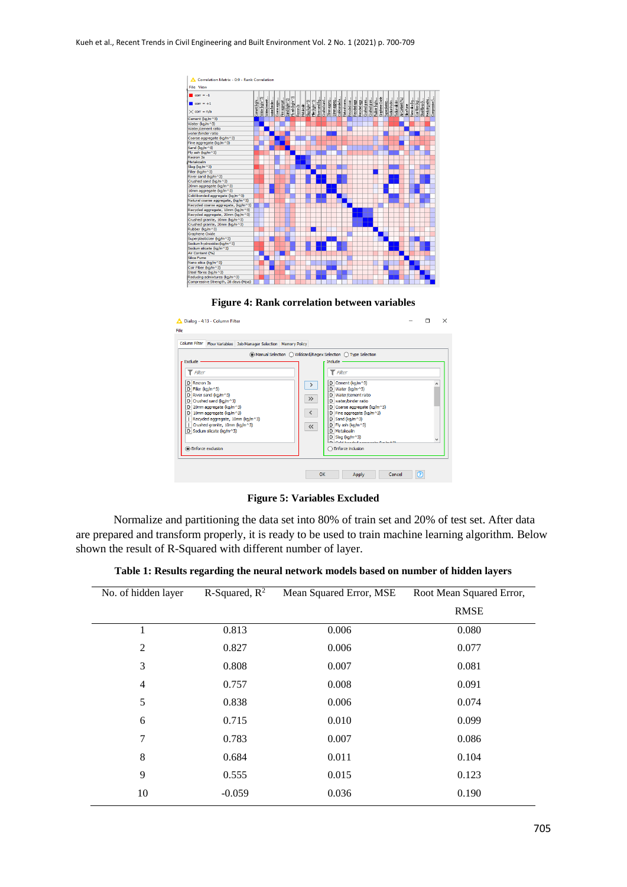



| Exclude -                                                                      |                                                                                                                                                                                                                                       | Flow Variables Job Manager Selection   Memory Policy |                                                             | ◉ Manual Selection ( Wildcard/Regex Selection ( ) Type Selection<br>- Indude ·                                                                                                                                                                                                                                                                        |                          |
|--------------------------------------------------------------------------------|---------------------------------------------------------------------------------------------------------------------------------------------------------------------------------------------------------------------------------------|------------------------------------------------------|-------------------------------------------------------------|-------------------------------------------------------------------------------------------------------------------------------------------------------------------------------------------------------------------------------------------------------------------------------------------------------------------------------------------------------|--------------------------|
| $\top$ Fiter<br>D Recron 3s<br>D Filler (kg/m^3)<br><b>O</b> Enforce exclusion | D River sand (kg/m^3)<br>$D$ Crushed sand (kg/m $\sim$ 3)<br>$D$ 20mm aggregate (kg/m $\sim$ 3)<br>D 10mm aggregate (kg/m^3)<br>  Recycled aggregate, 10mm (kg/m^3)<br>  Crushed granite, 10mm (kg/m^3)<br>D Sodium silicate (kg/m^3) |                                                      | ゝ<br>$\rightarrow$<br>$\left\langle \right\rangle$<br>$\ll$ | Filter<br>۲<br>D Cement (kg/m^3)<br>D Water (kg/m^3)<br>D Water/cement ratio<br>D water/binder ratio<br>D Coarse aggregate (kg/m^3)<br>D Fine aggregate (kg/m^3)<br>$D$ Sand (kg/m $\sim$ 3)<br>D Fly ash (kg/m^3)<br>D   Metakoalin<br>$D$ Slag (kg/m $\sim$ 3)<br><b>Different transfer and a contract of the first Artist</b><br>Enforce inclusion | $\overline{\phantom{a}}$ |

**Figure 5: Variables Excluded**

Normalize and partitioning the data set into 80% of train set and 20% of test set. After data are prepared and transform properly, it is ready to be used to train machine learning algorithm. Below shown the result of R-Squared with different number of layer.

| No. of hidden layer | R-Squared, $R^2$ | Mean Squared Error, MSE | Root Mean Squared Error, |
|---------------------|------------------|-------------------------|--------------------------|
|                     |                  |                         | <b>RMSE</b>              |
| 1                   | 0.813            | 0.006                   | 0.080                    |
| $\overline{2}$      | 0.827            | 0.006                   | 0.077                    |
| 3                   | 0.808            | 0.007                   | 0.081                    |
| $\overline{4}$      | 0.757            | 0.008                   | 0.091                    |
| 5                   | 0.838            | 0.006                   | 0.074                    |
| 6                   | 0.715            | 0.010                   | 0.099                    |
| $\overline{7}$      | 0.783            | 0.007                   | 0.086                    |
| 8                   | 0.684            | 0.011                   | 0.104                    |
| 9                   | 0.555            | 0.015                   | 0.123                    |
| 10                  | $-0.059$         | 0.036                   | 0.190                    |

**Table 1: Results regarding the neural network models based on number of hidden layers**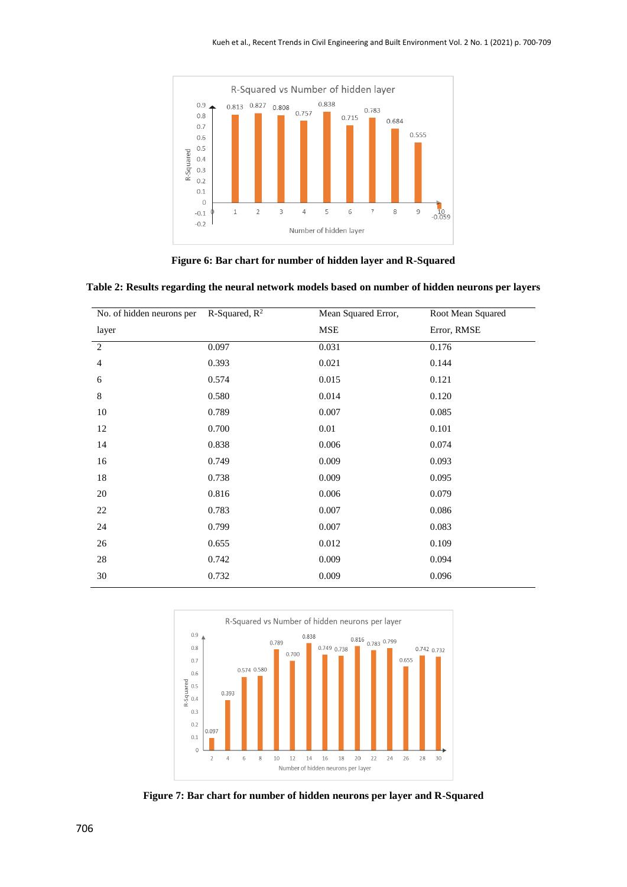

**Figure 6: Bar chart for number of hidden layer and R-Squared**

|  |  | Table 2: Results regarding the neural network models based on number of hidden neurons per layers |  |
|--|--|---------------------------------------------------------------------------------------------------|--|
|  |  |                                                                                                   |  |

| No. of hidden neurons per | R-Squared, $R^2$ | Mean Squared Error, | Root Mean Squared |  |
|---------------------------|------------------|---------------------|-------------------|--|
| layer                     |                  | MSE                 | Error, RMSE       |  |
| $\mathbf{2}$              | 0.097            | 0.031               | 0.176             |  |
| $\overline{4}$            | 0.393            | 0.021               | 0.144             |  |
| 6                         | 0.574            | 0.015               | 0.121             |  |
| 8                         | 0.580            | 0.014               | 0.120             |  |
| 10                        | 0.789            | 0.007               | 0.085             |  |
| 12                        | 0.700            | $0.01\,$            | 0.101             |  |
| 14                        | 0.838            | 0.006               | 0.074             |  |
| 16                        | 0.749            | 0.009               | 0.093             |  |
| $18\,$                    | 0.738            | 0.009               | 0.095             |  |
| $20\,$                    | 0.816            | 0.006               | 0.079             |  |
| 22                        | 0.783            | 0.007               | 0.086             |  |
| 24                        | 0.799            | 0.007               | 0.083             |  |
| 26                        | 0.655            | 0.012               | 0.109             |  |
| $28\,$                    | 0.742            | 0.009               | 0.094             |  |
| 30                        | 0.732            | 0.009               | 0.096             |  |



**Figure 7: Bar chart for number of hidden neurons per layer and R-Squared**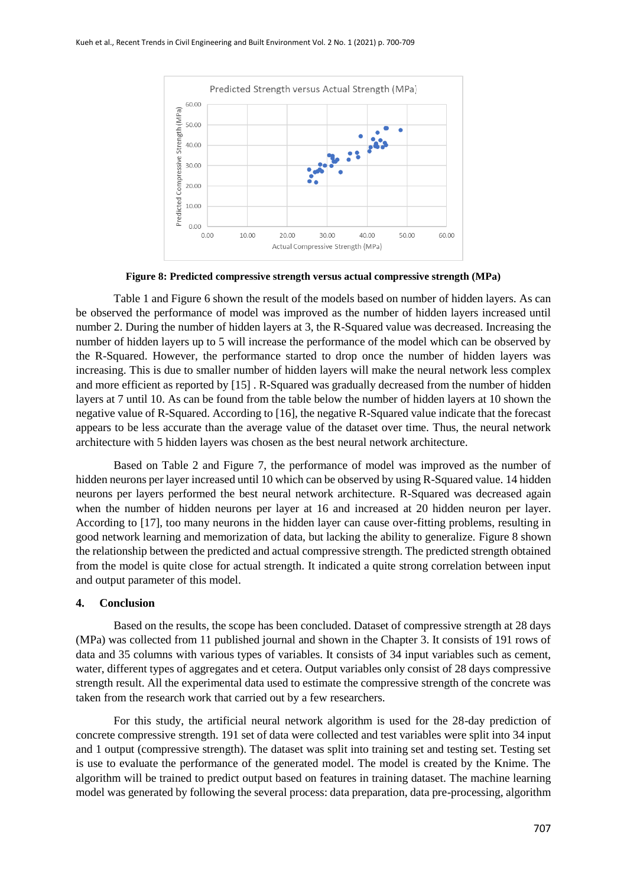

**Figure 8: Predicted compressive strength versus actual compressive strength (MPa)**

Table 1 and Figure 6 shown the result of the models based on number of hidden layers. As can be observed the performance of model was improved as the number of hidden layers increased until number 2. During the number of hidden layers at 3, the R-Squared value was decreased. Increasing the number of hidden layers up to 5 will increase the performance of the model which can be observed by the R-Squared. However, the performance started to drop once the number of hidden layers was increasing. This is due to smaller number of hidden layers will make the neural network less complex and more efficient as reported by [15] . R-Squared was gradually decreased from the number of hidden layers at 7 until 10. As can be found from the table below the number of hidden layers at 10 shown the negative value of R-Squared. According to [16], the negative R-Squared value indicate that the forecast appears to be less accurate than the average value of the dataset over time. Thus, the neural network architecture with 5 hidden layers was chosen as the best neural network architecture.

Based on Table 2 and Figure 7, the performance of model was improved as the number of hidden neurons per layer increased until 10 which can be observed by using R-Squared value. 14 hidden neurons per layers performed the best neural network architecture. R-Squared was decreased again when the number of hidden neurons per layer at 16 and increased at 20 hidden neuron per layer. According to [17], too many neurons in the hidden layer can cause over-fitting problems, resulting in good network learning and memorization of data, but lacking the ability to generalize. Figure 8 shown the relationship between the predicted and actual compressive strength. The predicted strength obtained from the model is quite close for actual strength. It indicated a quite strong correlation between input and output parameter of this model.

## **4. Conclusion**

Based on the results, the scope has been concluded. Dataset of compressive strength at 28 days (MPa) was collected from 11 published journal and shown in the Chapter 3. It consists of 191 rows of data and 35 columns with various types of variables. It consists of 34 input variables such as cement, water, different types of aggregates and et cetera. Output variables only consist of 28 days compressive strength result. All the experimental data used to estimate the compressive strength of the concrete was taken from the research work that carried out by a few researchers.

For this study, the artificial neural network algorithm is used for the 28-day prediction of concrete compressive strength. 191 set of data were collected and test variables were split into 34 input and 1 output (compressive strength). The dataset was split into training set and testing set. Testing set is use to evaluate the performance of the generated model. The model is created by the Knime. The algorithm will be trained to predict output based on features in training dataset. The machine learning model was generated by following the several process: data preparation, data pre-processing, algorithm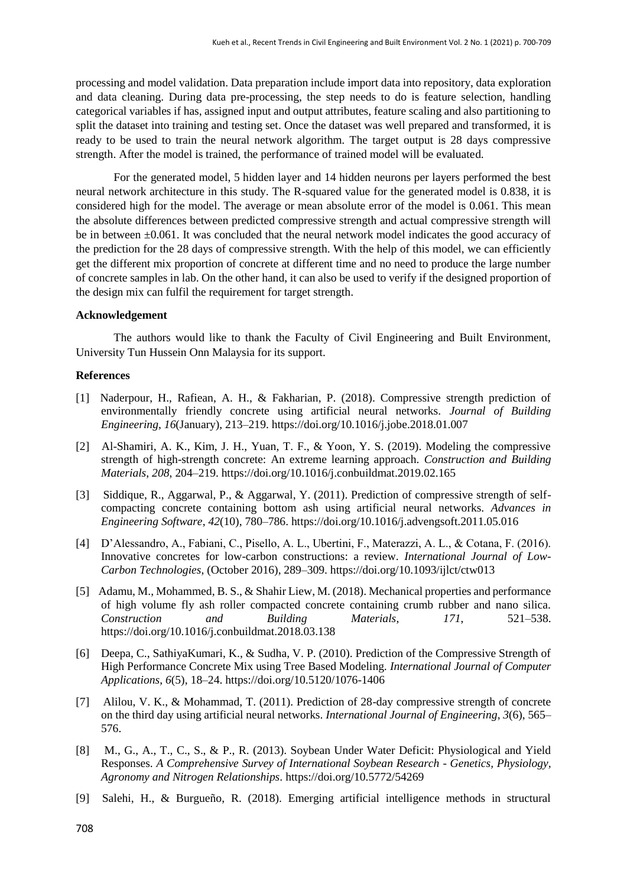processing and model validation. Data preparation include import data into repository, data exploration and data cleaning. During data pre-processing, the step needs to do is feature selection, handling categorical variables if has, assigned input and output attributes, feature scaling and also partitioning to split the dataset into training and testing set. Once the dataset was well prepared and transformed, it is ready to be used to train the neural network algorithm. The target output is 28 days compressive strength. After the model is trained, the performance of trained model will be evaluated.

For the generated model, 5 hidden layer and 14 hidden neurons per layers performed the best neural network architecture in this study. The R-squared value for the generated model is 0.838, it is considered high for the model. The average or mean absolute error of the model is 0.061. This mean the absolute differences between predicted compressive strength and actual compressive strength will be in between ±0.061. It was concluded that the neural network model indicates the good accuracy of the prediction for the 28 days of compressive strength. With the help of this model, we can efficiently get the different mix proportion of concrete at different time and no need to produce the large number of concrete samples in lab. On the other hand, it can also be used to verify if the designed proportion of the design mix can fulfil the requirement for target strength.

## **Acknowledgement**

The authors would like to thank the Faculty of Civil Engineering and Built Environment, University Tun Hussein Onn Malaysia for its support.

# **References**

- [1] Naderpour, H., Rafiean, A. H., & Fakharian, P. (2018). Compressive strength prediction of environmentally friendly concrete using artificial neural networks. *Journal of Building Engineering*, *16*(January), 213–219. https://doi.org/10.1016/j.jobe.2018.01.007
- [2] Al-Shamiri, A. K., Kim, J. H., Yuan, T. F., & Yoon, Y. S. (2019). Modeling the compressive strength of high-strength concrete: An extreme learning approach. *Construction and Building Materials*, *208*, 204–219. https://doi.org/10.1016/j.conbuildmat.2019.02.165
- [3] Siddique, R., Aggarwal, P., & Aggarwal, Y. (2011). Prediction of compressive strength of selfcompacting concrete containing bottom ash using artificial neural networks. *Advances in Engineering Software*, *42*(10), 780–786. https://doi.org/10.1016/j.advengsoft.2011.05.016
- [4] D'Alessandro, A., Fabiani, C., Pisello, A. L., Ubertini, F., Materazzi, A. L., & Cotana, F. (2016). Innovative concretes for low-carbon constructions: a review. *International Journal of Low-Carbon Technologies*, (October 2016), 289–309. https://doi.org/10.1093/ijlct/ctw013
- [5] Adamu, M., Mohammed, B. S., & Shahir Liew, M. (2018). Mechanical properties and performance of high volume fly ash roller compacted concrete containing crumb rubber and nano silica. *Construction and Building Materials*, *171*, 521–538. https://doi.org/10.1016/j.conbuildmat.2018.03.138
- [6] Deepa, C., SathiyaKumari, K., & Sudha, V. P. (2010). Prediction of the Compressive Strength of High Performance Concrete Mix using Tree Based Modeling. *International Journal of Computer Applications*, *6*(5), 18–24. https://doi.org/10.5120/1076-1406
- [7] Alilou, V. K., & Mohammad, T. (2011). Prediction of 28-day compressive strength of concrete on the third day using artificial neural networks. *International Journal of Engineering*, *3*(6), 565– 576.
- [8] M., G., A., T., C., S., & P., R. (2013). Soybean Under Water Deficit: Physiological and Yield Responses. *A Comprehensive Survey of International Soybean Research - Genetics, Physiology, Agronomy and Nitrogen Relationships*. https://doi.org/10.5772/54269
- [9] Salehi, H., & Burgueño, R. (2018). Emerging artificial intelligence methods in structural